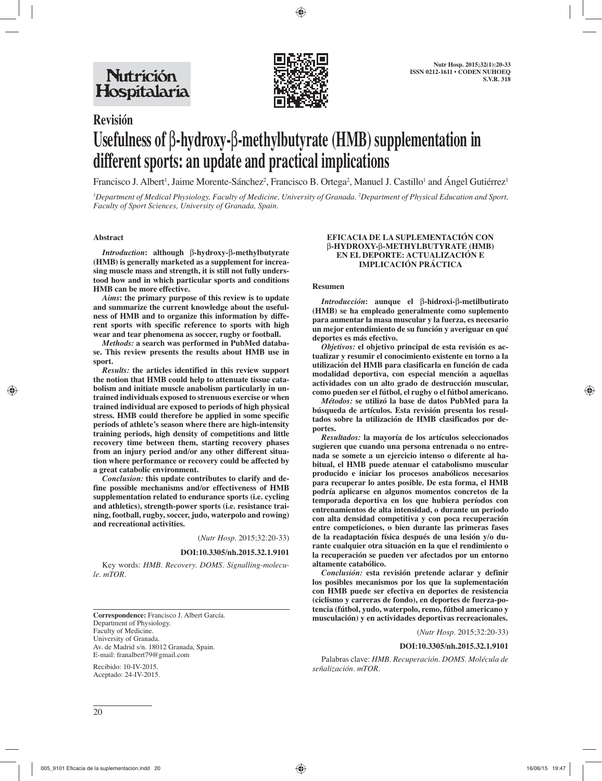

# **Revisión Usefulness of** β**-hydroxy-**β**-methylbutyrate (HMB) supplementation in different sports: an update and practical implications**

Francisco J. Albert<sup>1</sup>, Jaime Morente-Sánchez<sup>2</sup>, Francisco B. Ortega<sup>2</sup>, Manuel J. Castillo<sup>1</sup> and Angel Gutiérrez<sup>1</sup>

*1 Department of Medical Physiology, Faculty of Medicine, University of Granada. 2 Department of Physical Education and Sport, Faculty of Sport Sciences, University of Granada, Spain.*

## **Abstract**

*Introduction***: although** β**-hydroxy-**β**-methylbutyrate (HMB) is generally marketed as a supplement for increasing muscle mass and strength, it is still not fully understood how and in which particular sports and conditions HMB can be more effective.**

*Aims***: the primary purpose of this review is to update and summarize the current knowledge about the usefulness of HMB and to organize this information by different sports with specific reference to sports with high wear and tear phenomena as soccer, rugby or football.**

*Methods:* **a search was performed in PubMed database. This review presents the results about HMB use in sport.**

*Results:* **the articles identified in this review support the notion that HMB could help to attenuate tissue catabolism and initiate muscle anabolism particularly in untrained individuals exposed to strenuous exercise or when trained individual are exposed to periods of high physical stress. HMB could therefore be applied in some specific periods of athlete's season where there are high-intensity training periods, high density of competitions and little recovery time between them, starting recovery phases from an injury period and/or any other different situation where performance or recovery could be affected by a great catabolic environment.** 

*Conclusion:* **this update contributes to clarify and define possible mechanisms and/or effectiveness of HMB supplementation related to endurance sports (i.e. cycling and athletics), strength-power sports (i.e. resistance training, football, rugby, soccer, judo, waterpolo and rowing) and recreational activities.** 

(*Nutr Hosp.* 2015;32:20-33)

#### **DOI:10.3305/nh.2015.32.1.9101**

Key words: *HMB. Recovery. DOMS. Signalling-molecule. mTOR.*

**Correspondence:** Francisco J. Albert García. Department of Physiology. Faculty of Medicine. University of Granada. Av. de Madrid s/n. 18012 Granada, Spain. E-mail: franalbert79@gmail.com

Recibido: 10-IV-2015. Aceptado: 24-IV-2015.

#### **EFICACIA DE LA SUPLEMENTACIÓN CON**  β**-HYDROXY-**β**-METHYLBUTYRATE (HMB) EN EL DEPORTE: ACTUALIZACIÓN E IMPLICACIÓN PRÁCTICA**

#### **Resumen**

*Introducción***: aunque el** β**-hidroxi-**β**-metilbutirato (HMB) se ha empleado generalmente como suplemento para aumentar la masa muscular y la fuerza, es necesario un mejor entendimiento de su función y averiguar en qué deportes es más efectivo.**

*Objetivos:* **el objetivo principal de esta revisión es actualizar y resumir el conocimiento existente en torno a la utilización del HMB para clasificarla en función de cada modalidad deportiva, con especial mención a aquellas actividades con un alto grado de destrucción muscular, como pueden ser el fútbol, el rugby o el fútbol americano.**

*Métodos:* **se utilizó la base de datos PubMed para la búsqueda de artículos. Esta revisión presenta los resultados sobre la utilización de HMB clasificados por deportes.**

*Resultados:* **la mayoría de los artículos seleccionados sugieren que cuando una persona entrenada o no entrenada se somete a un ejercicio intenso o diferente al habitual, el HMB puede atenuar el catabolismo muscular producido e iniciar los procesos anabólicos necesarios para recuperar lo antes posible. De esta forma, el HMB podría aplicarse en algunos momentos concretos de la temporada deportiva en los que hubiera períodos con entrenamientos de alta intensidad, o durante un periodo con alta densidad competitiva y con poca recuperación entre competiciones, o bien durante las primeras fases de la readaptación física después de una lesión y/o durante cualquier otra situación en la que el rendimiento o la recuperación se pueden ver afectados por un entorno altamente catabólico.**

*Conclusión:* **esta revisión pretende aclarar y definir los posibles mecanismos por los que la suplementación con HMB puede ser efectiva en deportes de resistencia (ciclismo y carreras de fondo), en deportes de fuerza-potencia (fútbol, yudo, waterpolo, remo, fútbol americano y musculación) y en actividades deportivas recreacionales.**

(*Nutr Hosp.* 2015;32:20-33)

#### **DOI:10.3305/nh.2015.32.1.9101**

Palabras clave: *HMB. Recuperación. DOMS. Molécula de señalización. mTOR.*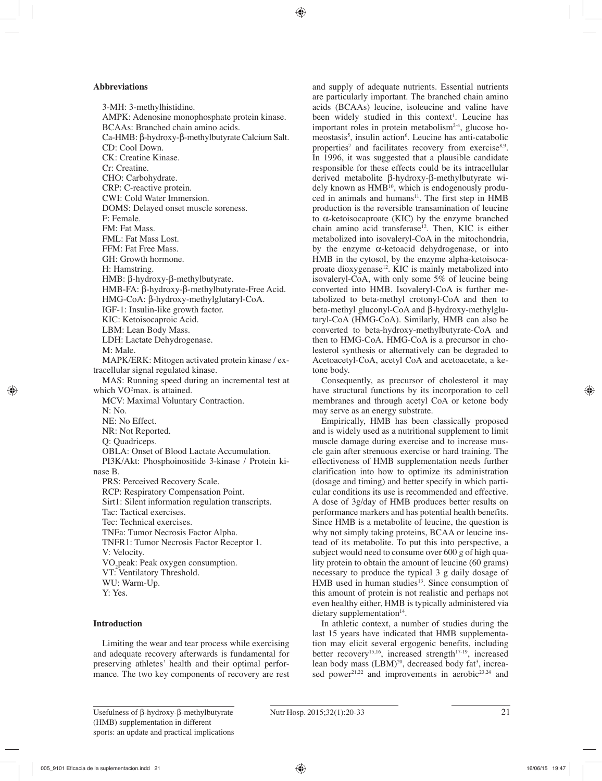## **Abbreviations**

3-MH: 3-methylhistidine. AMPK: Adenosine monophosphate protein kinase. BCAAs: Branched chain amino acids. Ca-HMB: β-hydroxy-β-methylbutyrate Calcium Salt. CD: Cool Down. CK: Creatine Kinase. Cr: Creatine. CHO: Carbohydrate. CRP: C-reactive protein. CWI: Cold Water Immersion. DOMS: Delayed onset muscle soreness. F: Female. FM: Fat Mass. FML: Fat Mass Lost. FFM: Fat Free Mass. GH: Growth hormone. H: Hamstring. HMB: β-hydroxy-β-methylbutyrate. HMB-FA: β-hydroxy-β-methylbutyrate-Free Acid. HMG-CoA: β-hydroxy-methylglutaryl-CoA. IGF-1: Insulin-like growth factor. KIC: Ketoisocaproic Acid. LBM: Lean Body Mass. LDH: Lactate Dehydrogenase. M: Male. MAPK/ERK: Mitogen activated protein kinase / extracellular signal regulated kinase. MAS: Running speed during an incremental test at which VO<sup>2</sup>max. is attained. MCV: Maximal Voluntary Contraction. N: No. NE: No Effect. NR: Not Reported. Q: Quadriceps. OBLA: Onset of Blood Lactate Accumulation. PI3K/Akt: Phosphoinositide 3-kinase / Protein kinase B. PRS: Perceived Recovery Scale. RCP: Respiratory Compensation Point. Sirt1: Silent information regulation transcripts. Tac: Tactical exercises. Tec: Technical exercises. TNFa: Tumor Necrosis Factor Alpha. TNFR1: Tumor Necrosis Factor Receptor 1. V: Velocity. VO<sub>2</sub>peak: Peak oxygen consumption. VT: Ventilatory Threshold. WU: Warm-Up. Y: Yes.

## **Introduction**

Limiting the wear and tear process while exercising and adequate recovery afterwards is fundamental for preserving athletes' health and their optimal performance. The two key components of recovery are rest and supply of adequate nutrients. Essential nutrients are particularly important. The branched chain amino acids (BCAAs) leucine, isoleucine and valine have been widely studied in this context<sup>1</sup>. Leucine has important roles in protein metabolism $2-4$ , glucose homeostasis<sup>5</sup>, insulin action<sup>6</sup>. Leucine has anti-catabolic properties<sup>7</sup> and facilitates recovery from exercise<sup>8,9</sup>. In 1996, it was suggested that a plausible candidate responsible for these effects could be its intracellular derived metabolite β-hydroxy-β-methylbutyrate widely known as HMB<sup>10</sup>, which is endogenously produced in animals and humans<sup>11</sup>. The first step in HMB production is the reversible transamination of leucine to α-ketoisocaproate (KIC) by the enzyme branched chain amino acid transferase<sup>12</sup>. Then, KIC is either metabolized into isovaleryl-CoA in the mitochondria, by the enzyme α-ketoacid dehydrogenase, or into HMB in the cytosol, by the enzyme alpha-ketoisocaproate dioxygenase<sup>12</sup>. KIC is mainly metabolized into isovaleryl-CoA, with only some 5% of leucine being converted into HMB. Isovaleryl-CoA is further metabolized to beta-methyl crotonyl-CoA and then to beta-methyl gluconyl-CoA and β-hydroxy-methylglutaryl-CoA (HMG-CoA). Similarly, HMB can also be converted to beta-hydroxy-methylbutyrate-CoA and then to HMG-CoA. HMG-CoA is a precursor in cholesterol synthesis or alternatively can be degraded to Acetoacetyl-CoA, acetyl CoA and acetoacetate, a ketone body.

Consequently, as precursor of cholesterol it may have structural functions by its incorporation to cell membranes and through acetyl CoA or ketone body may serve as an energy substrate.

Empirically, HMB has been classically proposed and is widely used as a nutritional supplement to limit muscle damage during exercise and to increase muscle gain after strenuous exercise or hard training. The effectiveness of HMB supplementation needs further clarification into how to optimize its administration (dosage and timing) and better specify in which particular conditions its use is recommended and effective. A dose of 3g/day of HMB produces better results on performance markers and has potential health benefits. Since HMB is a metabolite of leucine, the question is why not simply taking proteins, BCAA or leucine instead of its metabolite. To put this into perspective, a subject would need to consume over 600 g of high quality protein to obtain the amount of leucine (60 grams) necessary to produce the typical 3 g daily dosage of HMB used in human studies<sup>13</sup>. Since consumption of this amount of protein is not realistic and perhaps not even healthy either, HMB is typically administered via dietary supplementation $14$ .

In athletic context, a number of studies during the last 15 years have indicated that HMB supplementation may elicit several ergogenic benefits, including better recovery<sup>15,16</sup>, increased strength<sup>17-19</sup>, increased lean body mass (LBM)<sup>20</sup>, decreased body fat<sup>3</sup>, increased power<sup>21,22</sup> and improvements in aerobic<sup>23,24</sup> and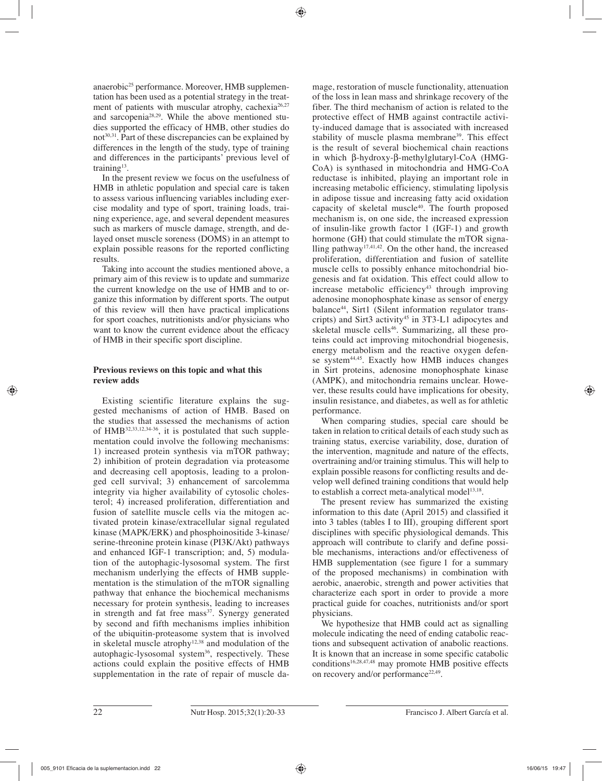anaerobic25 performance. Moreover, HMB supplementation has been used as a potential strategy in the treatment of patients with muscular atrophy, cachexia<sup>26,27</sup> and sarcopenia28,29. While the above mentioned studies supported the efficacy of HMB, other studies do not<sup>30,31</sup>. Part of these discrepancies can be explained by differences in the length of the study, type of training and differences in the participants' previous level of training<sup>13</sup>.

In the present review we focus on the usefulness of HMB in athletic population and special care is taken to assess various influencing variables including exercise modality and type of sport, training loads, training experience, age, and several dependent measures such as markers of muscle damage, strength, and delayed onset muscle soreness (DOMS) in an attempt to explain possible reasons for the reported conflicting results.

Taking into account the studies mentioned above, a primary aim of this review is to update and summarize the current knowledge on the use of HMB and to organize this information by different sports. The output of this review will then have practical implications for sport coaches, nutritionists and/or physicians who want to know the current evidence about the efficacy of HMB in their specific sport discipline.

# **Previous reviews on this topic and what this review adds**

Existing scientific literature explains the suggested mechanisms of action of HMB. Based on the studies that assessed the mechanisms of action of HMB32,33,12,34-36, it is postulated that such supplementation could involve the following mechanisms: 1) increased protein synthesis via mTOR pathway; 2) inhibition of protein degradation via proteasome and decreasing cell apoptosis, leading to a prolonged cell survival; 3) enhancement of sarcolemma integrity via higher availability of cytosolic cholesterol; 4) increased proliferation, differentiation and fusion of satellite muscle cells via the mitogen activated protein kinase/extracellular signal regulated kinase (MAPK/ERK) and phosphoinositide 3-kinase/ serine-threonine protein kinase (PI3K/Akt) pathways and enhanced IGF-1 transcription; and, 5) modulation of the autophagic-lysosomal system. The first mechanism underlying the effects of HMB supplementation is the stimulation of the mTOR signalling pathway that enhance the biochemical mechanisms necessary for protein synthesis, leading to increases in strength and fat free  $mass<sup>37</sup>$ . Synergy generated by second and fifth mechanisms implies inhibition of the ubiquitin-proteasome system that is involved in skeletal muscle atrophy<sup>12,38</sup> and modulation of the autophagic-lysosomal system $36$ , respectively. These actions could explain the positive effects of HMB supplementation in the rate of repair of muscle damage, restoration of muscle functionality, attenuation of the loss in lean mass and shrinkage recovery of the fiber. The third mechanism of action is related to the protective effect of HMB against contractile activity-induced damage that is associated with increased stability of muscle plasma membrane<sup>39</sup>. This effect is the result of several biochemical chain reactions in which β-hydroxy-β-methylglutaryl-CoA (HMG-CoA) is synthased in mitochondria and HMG-CoA reductase is inhibited, playing an important role in increasing metabolic efficiency, stimulating lipolysis in adipose tissue and increasing fatty acid oxidation capacity of skeletal muscle<sup>40</sup>. The fourth proposed mechanism is, on one side, the increased expression of insulin-like growth factor 1 (IGF-1) and growth hormone (GH) that could stimulate the mTOR signalling pathway<sup>17,41,42</sup>. On the other hand, the increased proliferation, differentiation and fusion of satellite muscle cells to possibly enhance mitochondrial biogenesis and fat oxidation. This effect could allow to increase metabolic efficiency<sup>43</sup> through improving adenosine monophosphate kinase as sensor of energy balance<sup>44</sup>, Sirt1 (Silent information regulator transcripts) and Sirt3 activity<sup>45</sup> in 3T3-L1 adipocytes and skeletal muscle cells<sup>46</sup>. Summarizing, all these proteins could act improving mitochondrial biogenesis, energy metabolism and the reactive oxygen defense system<sup>44,45</sup>. Exactly how HMB induces changes in Sirt proteins, adenosine monophosphate kinase (AMPK), and mitochondria remains unclear. However, these results could have implications for obesity, insulin resistance, and diabetes, as well as for athletic performance.

When comparing studies, special care should be taken in relation to critical details of each study such as training status, exercise variability, dose, duration of the intervention, magnitude and nature of the effects, overtraining and/or training stimulus. This will help to explain possible reasons for conflicting results and develop well defined training conditions that would help to establish a correct meta-analytical model<sup>13,18</sup>.

The present review has summarized the existing information to this date (April 2015) and classified it into 3 tables (tables I to III), grouping different sport disciplines with specific physiological demands. This approach will contribute to clarify and define possible mechanisms, interactions and/or effectiveness of HMB supplementation (see figure 1 for a summary of the proposed mechanisms) in combination with aerobic, anaerobic, strength and power activities that characterize each sport in order to provide a more practical guide for coaches, nutritionists and/or sport physicians.

We hypothesize that HMB could act as signalling molecule indicating the need of ending catabolic reactions and subsequent activation of anabolic reactions. It is known that an increase in some specific catabolic conditions<sup>16,28,47,48</sup> may promote HMB positive effects on recovery and/or performance<sup>22,49</sup>.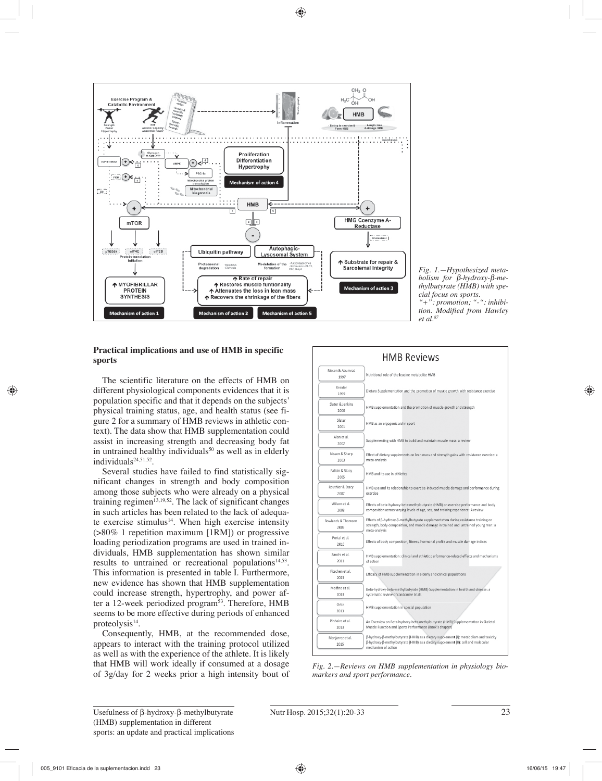

*Fig. 1.—Hypothesized metabolism for* β*-hydroxy-*β*-methylbutyrate (HMB) with special focus on sports. "+": promotion; "-": inhibition. Modified from Hawley et al.87*

# **Practical implications and use of HMB in specific sports**

The scientific literature on the effects of HMB on different physiological components evidences that it is population specific and that it depends on the subjects' physical training status, age, and health status (see figure 2 for a summary of HMB reviews in athletic context). The data show that HMB supplementation could assist in increasing strength and decreasing body fat in untrained healthy individuals $50$  as well as in elderly  $individuals<sup>24,51,52</sup>$ .

Several studies have failed to find statistically significant changes in strength and body composition among those subjects who were already on a physical training regimen $13,19,52$ . The lack of significant changes in such articles has been related to the lack of adequate exercise stimulus<sup>14</sup>. When high exercise intensity (>80% 1 repetition maximum [1RM]) or progressive loading periodization programs are used in trained individuals, HMB supplementation has shown similar results to untrained or recreational populations $14,53$ . This information is presented in table I. Furthermore, new evidence has shown that HMB supplementation could increase strength, hypertrophy, and power after a 12-week periodized program<sup>53</sup>. Therefore, HMB seems to be more effective during periods of enhanced proteolysis $14$ .

Consequently, HMB, at the recommended dose, appears to interact with the training protocol utilized as well as with the experience of the athlete. It is likely that HMB will work ideally if consumed at a dosage of 3g/day for 2 weeks prior a high intensity bout of

|                            | <b>HMB Reviews</b>                                                                                                                                                                                |  |  |  |  |  |  |  |  |  |
|----------------------------|---------------------------------------------------------------------------------------------------------------------------------------------------------------------------------------------------|--|--|--|--|--|--|--|--|--|
| Nissen & Abumrad<br>1997   | Nutritional role of the leucine metabolite HMB                                                                                                                                                    |  |  |  |  |  |  |  |  |  |
| Kreider<br>1999            | Dietary Supplementation and the promotion of muscle growth with resistance exercise                                                                                                               |  |  |  |  |  |  |  |  |  |
| Slater & Jenkins<br>2000   | HMB supplementation and the promotion of muscle growth and strength                                                                                                                               |  |  |  |  |  |  |  |  |  |
| Slater<br>2001             | HMB as an ergogenic aid in sport                                                                                                                                                                  |  |  |  |  |  |  |  |  |  |
| Alon et al.<br>2002        | Supplementing with HMB to build and maintain muscle mass: a review                                                                                                                                |  |  |  |  |  |  |  |  |  |
| Nissen & Sharp<br>2003     | Effect of dietary supplements on lean mass and strength gains with resistance exercise: a<br>meta-analysis                                                                                        |  |  |  |  |  |  |  |  |  |
| Palisin & Stacy<br>2005    | HMB and its use in athletics                                                                                                                                                                      |  |  |  |  |  |  |  |  |  |
| Routhier & Stacy<br>2007   | HMB use and its relationship to exercise-induced muscle damage and performance during<br>exercise                                                                                                 |  |  |  |  |  |  |  |  |  |
| Wilson et al.<br>2008      | Effects of beta-hydroxy-beta-methylbutyrate (HMB) on exercise performance and body<br>composition across varying levels of age, sex, and training experience: A review                            |  |  |  |  |  |  |  |  |  |
| Rowlands & Thomson<br>2009 | Effects of B-hydroxy-B-methylbutyrate supplementation during resistance training on<br>strength, body composition, and muscle damage in trained and untrained young men: a<br>meta-analysis       |  |  |  |  |  |  |  |  |  |
| Portal et al.<br>2010      | Effects of body composition, fitness, hormonal profile and muscle damage indices                                                                                                                  |  |  |  |  |  |  |  |  |  |
| Zanchi et al.<br>2011      | HMB supplementation: clinical and athletic performance-related effects and mechanisms<br>of action                                                                                                |  |  |  |  |  |  |  |  |  |
| Fitschen et al.<br>2013    | Efficacy of HMB supplementation in elderly and clinical populations                                                                                                                               |  |  |  |  |  |  |  |  |  |
| Molfino et al.<br>2013     | Beta-hydroxy-beta-methylbutyrate (HMB) Supplementation in health and disease: a<br>systematic review of randomize trials                                                                          |  |  |  |  |  |  |  |  |  |
| Ortiz<br>2013              | HMB supplementation in special population                                                                                                                                                         |  |  |  |  |  |  |  |  |  |
| Pinheiro et al.<br>2013    | An Overview on Beta-hydroxy-beta-methylbutyrate (HMB) Supplementation in Skeletal<br>Muscle Function and Sports Performance (Book's chapter)                                                      |  |  |  |  |  |  |  |  |  |
| Manjarrez et al.<br>2015   | β-hydroxy-β-methylbutyrate (HMB) as a dietary supplement (I): metabolism and toxicity<br>β-hydroxy-β-methylbutyrate (HMB) as a dietary supplement (II): cell and molecular<br>mechanism of action |  |  |  |  |  |  |  |  |  |

*Fig. 2.—Reviews on HMB supplementation in physiology biomarkers and sport performance.*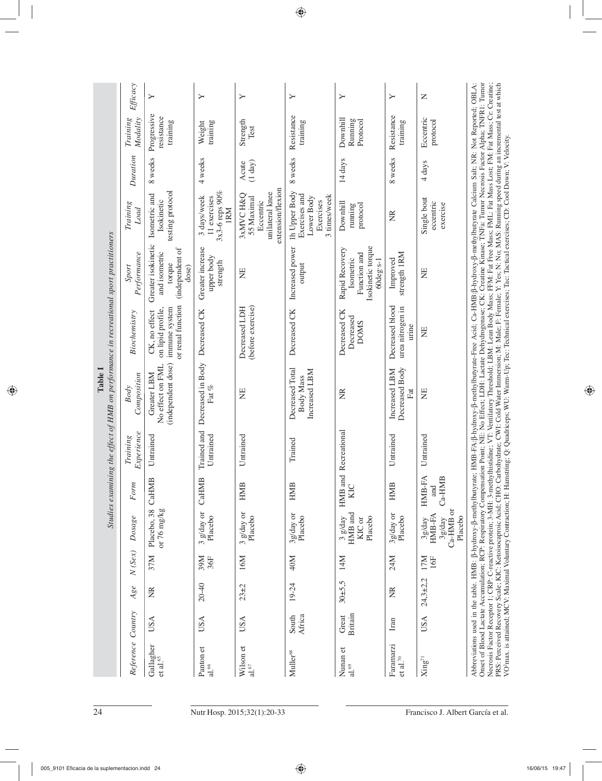| Z<br>≻<br>Υ<br>≻<br>≻<br>≻<br>≻<br>Progressive<br>Resistance<br>Resistance<br>resistance<br>Eccentric<br>Modality<br>$Training$<br>Downhill<br>Running<br>protocol<br>Strength<br>Protocol<br>training<br>training<br>training<br>training<br>Weight<br>Test<br>Duration<br>8 weeks<br>8 weeks<br>8 weeks<br>4 weeks<br>14 days<br>4 days<br>(1 day)<br>Acute<br>extension/flexion<br>$3x3-6$ reps $90\%$<br>testing protocol<br>unilateral knee<br>1h Upper Body<br>3xMVC H&Q<br>Isometric and<br>Exercises and<br>3 times/week<br>3 days/week<br>11 exercises<br>Lower Body<br>55 Maximal<br>Single bout<br>Isokinetic<br>Eccentric<br>Exercises<br>eccentric<br>$Training$<br>Downhill<br>exercise<br>protocol<br>running<br>Load<br><b>IRM</b><br>g<br>Greater isokinetic<br>Isokinetic torque<br>Greater increase<br>Increased power<br>(independent of<br>Rapid Recovery<br>and isometric<br>strength 1RM<br>Performance<br>Function and<br>upper body<br>Isometric<br>Improved<br>$60$ deg $s-1$<br>strength<br>torque<br>output<br>Sport<br>dose)<br>ΗE<br>$\Xi$<br>or renal function<br>(before exercise)<br>Decreased blood<br>urea nitrogen in<br>Decreased LDH<br>on lipid profile,<br>immune system<br>Decreased CK<br>Decreased CK<br>CK, no effect<br>Decreased CK<br>Biochemistry<br>Decreased<br><b>DOMS</b><br>urine<br>岂<br>Decreased in Body<br>(independent dose)<br>No effect on FML<br>Decreased Body<br>Decreased Total<br>Increased LBM<br>Increased LBM<br>Greater LBM<br>Composition<br>Body Mass<br><b>Body</b><br>Fat $%$<br>Fat<br>岂<br>E<br>岂<br>Trained and<br>and Recreational<br>Experience<br>Untrained<br>Untrained<br>Untrained<br>Untrained<br>Untrained<br><b>Training</b><br>Trained<br>HMB-FA<br>Ca-HMB<br>CaHMB<br>$\overline{a}$<br>Form<br>$\mathbf{B}$<br>$\mathbf{D}$<br>Б<br>CaHN<br>and<br>XК<br>HМ<br>HМ<br>NH<br><b>HMB</b><br>Placebo, 38<br>or 76 mg/kg<br>Ca-HMB or<br>3 g/day or<br>3 g/day or<br>Placebo<br>HMB and<br>3g/day or<br>$3g/day$ or Placebo $\,$<br>HMB-FA<br>Placebo<br>Placebo<br>Placebo<br>Placebo<br>Dosage<br>KIC or<br>3 g/day<br>3g/day<br>3g/day<br>N(Sex)<br>37M<br>40M<br>24M<br>17M<br>16M<br>39M<br>14M<br>16F<br>36F<br>$24,3+2,2$<br>$30 + 5,5$<br>19-24<br>$20 - 40$<br>$23 + 2$<br>Age<br>E<br>ξ<br>Reference Country<br><b>Britain</b><br>Africa<br>South<br><b>USA</b><br>Great<br>USA<br>USA<br>USA<br>Iran<br>Faramarzi<br>Gallagher<br>Wilson et<br>Panton et<br>Nunan et<br>Muller <sup>68</sup><br>et al. $^{\rm 70}$<br>et al. <sup>65</sup><br>$\mathrm{Xing}^{71}$<br>al. <sup>69</sup><br>al. $67$<br>$^{\rm ad.}$ |  |  | Studies examining the effect of HMB on performance in recreational sport practitioners |  |  |  |          |
|-------------------------------------------------------------------------------------------------------------------------------------------------------------------------------------------------------------------------------------------------------------------------------------------------------------------------------------------------------------------------------------------------------------------------------------------------------------------------------------------------------------------------------------------------------------------------------------------------------------------------------------------------------------------------------------------------------------------------------------------------------------------------------------------------------------------------------------------------------------------------------------------------------------------------------------------------------------------------------------------------------------------------------------------------------------------------------------------------------------------------------------------------------------------------------------------------------------------------------------------------------------------------------------------------------------------------------------------------------------------------------------------------------------------------------------------------------------------------------------------------------------------------------------------------------------------------------------------------------------------------------------------------------------------------------------------------------------------------------------------------------------------------------------------------------------------------------------------------------------------------------------------------------------------------------------------------------------------------------------------------------------------------------------------------------------------------------------------------------------------------------------------------------------------------------------------------------------------------------------------------------------------------------------------------------------------------------------------------------------------------------------------------------------------------------------------------------------------------------------------------------------------------------------------------------------------------------------------------------------------|--|--|----------------------------------------------------------------------------------------|--|--|--|----------|
|                                                                                                                                                                                                                                                                                                                                                                                                                                                                                                                                                                                                                                                                                                                                                                                                                                                                                                                                                                                                                                                                                                                                                                                                                                                                                                                                                                                                                                                                                                                                                                                                                                                                                                                                                                                                                                                                                                                                                                                                                                                                                                                                                                                                                                                                                                                                                                                                                                                                                                                                                                                                                   |  |  |                                                                                        |  |  |  | Efficacy |
|                                                                                                                                                                                                                                                                                                                                                                                                                                                                                                                                                                                                                                                                                                                                                                                                                                                                                                                                                                                                                                                                                                                                                                                                                                                                                                                                                                                                                                                                                                                                                                                                                                                                                                                                                                                                                                                                                                                                                                                                                                                                                                                                                                                                                                                                                                                                                                                                                                                                                                                                                                                                                   |  |  |                                                                                        |  |  |  |          |
|                                                                                                                                                                                                                                                                                                                                                                                                                                                                                                                                                                                                                                                                                                                                                                                                                                                                                                                                                                                                                                                                                                                                                                                                                                                                                                                                                                                                                                                                                                                                                                                                                                                                                                                                                                                                                                                                                                                                                                                                                                                                                                                                                                                                                                                                                                                                                                                                                                                                                                                                                                                                                   |  |  |                                                                                        |  |  |  |          |
|                                                                                                                                                                                                                                                                                                                                                                                                                                                                                                                                                                                                                                                                                                                                                                                                                                                                                                                                                                                                                                                                                                                                                                                                                                                                                                                                                                                                                                                                                                                                                                                                                                                                                                                                                                                                                                                                                                                                                                                                                                                                                                                                                                                                                                                                                                                                                                                                                                                                                                                                                                                                                   |  |  |                                                                                        |  |  |  |          |
|                                                                                                                                                                                                                                                                                                                                                                                                                                                                                                                                                                                                                                                                                                                                                                                                                                                                                                                                                                                                                                                                                                                                                                                                                                                                                                                                                                                                                                                                                                                                                                                                                                                                                                                                                                                                                                                                                                                                                                                                                                                                                                                                                                                                                                                                                                                                                                                                                                                                                                                                                                                                                   |  |  |                                                                                        |  |  |  |          |
|                                                                                                                                                                                                                                                                                                                                                                                                                                                                                                                                                                                                                                                                                                                                                                                                                                                                                                                                                                                                                                                                                                                                                                                                                                                                                                                                                                                                                                                                                                                                                                                                                                                                                                                                                                                                                                                                                                                                                                                                                                                                                                                                                                                                                                                                                                                                                                                                                                                                                                                                                                                                                   |  |  |                                                                                        |  |  |  |          |
|                                                                                                                                                                                                                                                                                                                                                                                                                                                                                                                                                                                                                                                                                                                                                                                                                                                                                                                                                                                                                                                                                                                                                                                                                                                                                                                                                                                                                                                                                                                                                                                                                                                                                                                                                                                                                                                                                                                                                                                                                                                                                                                                                                                                                                                                                                                                                                                                                                                                                                                                                                                                                   |  |  |                                                                                        |  |  |  |          |
|                                                                                                                                                                                                                                                                                                                                                                                                                                                                                                                                                                                                                                                                                                                                                                                                                                                                                                                                                                                                                                                                                                                                                                                                                                                                                                                                                                                                                                                                                                                                                                                                                                                                                                                                                                                                                                                                                                                                                                                                                                                                                                                                                                                                                                                                                                                                                                                                                                                                                                                                                                                                                   |  |  |                                                                                        |  |  |  |          |

VO2max. is attained; MCV: Maximal Voluntary Contraction; H: Hamstring; Q: Quadriceps; WU: Warm-Up; Tec: Technical exercises; Tac: Tactical exercises; CD: Cool Down; V: Velocity.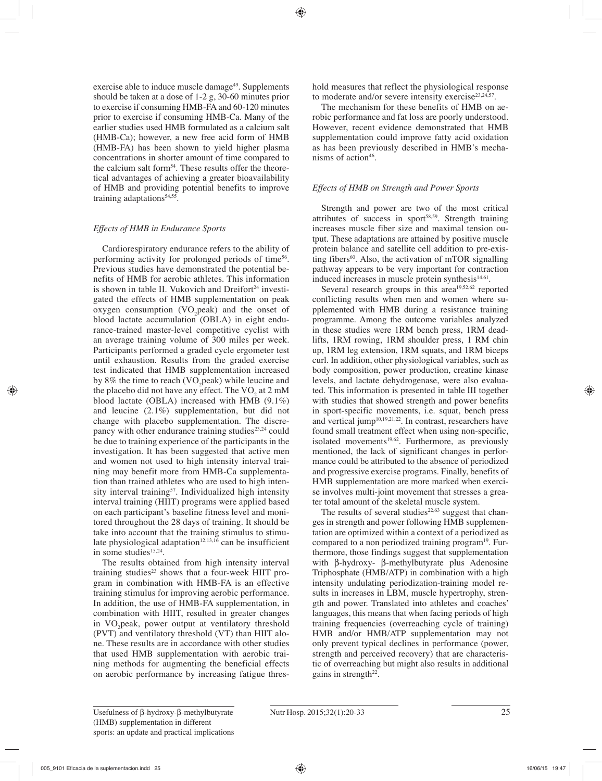exercise able to induce muscle damage<sup>49</sup>. Supplements should be taken at a dose of 1-2 g, 30-60 minutes prior to exercise if consuming HMB-FA and 60-120 minutes prior to exercise if consuming HMB-Ca. Many of the earlier studies used HMB formulated as a calcium salt (HMB-Ca); however, a new free acid form of HMB (HMB-FA) has been shown to yield higher plasma concentrations in shorter amount of time compared to the calcium salt form<sup>54</sup>. These results offer the theoretical advantages of achieving a greater bioavailability of HMB and providing potential benefits to improve training adaptations $54,55$ .

## *Effects of HMB in Endurance Sports*

Cardiorespiratory endurance refers to the ability of performing activity for prolonged periods of time<sup>56</sup>. Previous studies have demonstrated the potential benefits of HMB for aerobic athletes. This information is shown in table II. Vukovich and Dreifort $24$  investigated the effects of HMB supplementation on peak oxygen consumption  $(VO_2$  peak) and the onset of blood lactate accumulation (OBLA) in eight endurance-trained master-level competitive cyclist with an average training volume of 300 miles per week. Participants performed a graded cycle ergometer test until exhaustion. Results from the graded exercise test indicated that HMB supplementation increased by 8% the time to reach  $(\text{VO}_2 \text{peak})$  while leucine and the placebo did not have any effect. The  $VO<sub>2</sub>$  at 2 mM blood lactate (OBLA) increased with HMB (9.1%) and leucine (2.1%) supplementation, but did not change with placebo supplementation. The discrepancy with other endurance training studies $23,24$  could be due to training experience of the participants in the investigation. It has been suggested that active men and women not used to high intensity interval training may benefit more from HMB-Ca supplementation than trained athletes who are used to high intensity interval training<sup>57</sup>. Individualized high intensity interval training (HIIT) programs were applied based on each participant's baseline fitness level and monitored throughout the 28 days of training. It should be take into account that the training stimulus to stimulate physiological adaptation<sup>12,13,16</sup> can be insufficient in some studies $15,24$ .

The results obtained from high intensity interval training studies $^{23}$  shows that a four-week HIIT program in combination with HMB-FA is an effective training stimulus for improving aerobic performance. In addition, the use of HMB-FA supplementation, in combination with HIIT, resulted in greater changes in VO<sub>2</sub>peak, power output at ventilatory threshold (PVT) and ventilatory threshold (VT) than HIIT alone. These results are in accordance with other studies that used HMB supplementation with aerobic training methods for augmenting the beneficial effects on aerobic performance by increasing fatigue threshold measures that reflect the physiological response to moderate and/or severe intensity exercise $23,24,57$ .

The mechanism for these benefits of HMB on aerobic performance and fat loss are poorly understood. However, recent evidence demonstrated that HMB supplementation could improve fatty acid oxidation as has been previously described in HMB's mechanisms of action<sup>46</sup>.

# *Effects of HMB on Strength and Power Sports*

Strength and power are two of the most critical attributes of success in sport $58,59$ . Strength training increases muscle fiber size and maximal tension output. These adaptations are attained by positive muscle protein balance and satellite cell addition to pre-existing fibers $60$ . Also, the activation of mTOR signalling pathway appears to be very important for contraction induced increases in muscle protein synthesis $14,61$ .

Several research groups in this area<sup>19,52,62</sup> reported conflicting results when men and women where supplemented with HMB during a resistance training programme. Among the outcome variables analyzed in these studies were 1RM bench press, 1RM deadlifts, 1RM rowing, 1RM shoulder press, 1 RM chin up, 1RM leg extension, 1RM squats, and 1RM biceps curl. In addition, other physiological variables, such as body composition, power production, creatine kinase levels, and lactate dehydrogenase, were also evaluated. This information is presented in table III together with studies that showed strength and power benefits in sport-specific movements, i.e. squat, bench press and vertical jump<sup>10,19,21,22</sup>. In contrast, researchers have found small treatment effect when using non-specific, isolated movements<sup>19,62</sup>. Furthermore, as previously mentioned, the lack of significant changes in performance could be attributed to the absence of periodized and progressive exercise programs. Finally, benefits of HMB supplementation are more marked when exercise involves multi-joint movement that stresses a greater total amount of the skeletal muscle system.

The results of several studies<sup>22,63</sup> suggest that changes in strength and power following HMB supplementation are optimized within a context of a periodized as compared to a non periodized training program<sup>19</sup>. Furthermore, those findings suggest that supplementation with β-hydroxy- β-methylbutyrate plus Adenosine Triphosphate (HMB/ATP) in combination with a high intensity undulating periodization-training model results in increases in LBM, muscle hypertrophy, strength and power. Translated into athletes and coaches' languages, this means that when facing periods of high training frequencies (overreaching cycle of training) HMB and/or HMB/ATP supplementation may not only prevent typical declines in performance (power, strength and perceived recovery) that are characteristic of overreaching but might also results in additional gains in strength $22$ .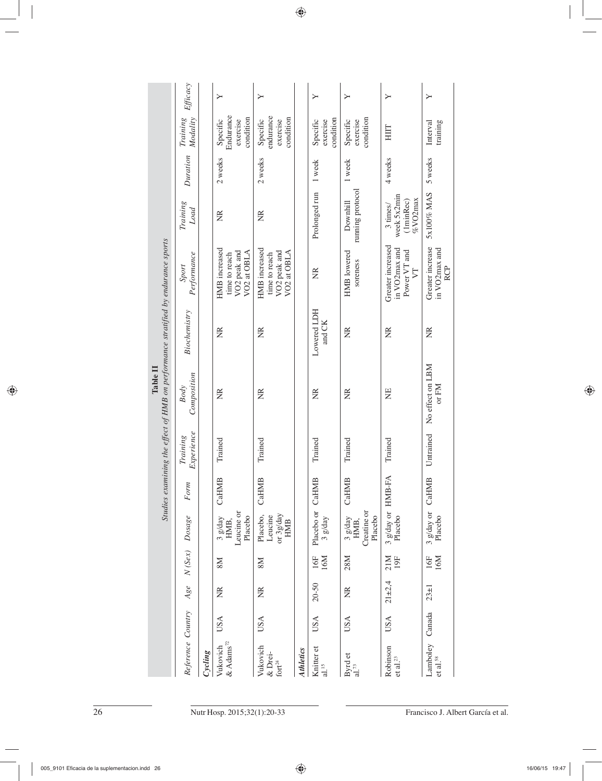|                                                                                               | Efficacy                      |         | Υ                                                                                     | $\geq$                                                                                |                  | Υ                                 | $\mathsf{Y}$                              | Υ                                                              | Υ                                               |
|-----------------------------------------------------------------------------------------------|-------------------------------|---------|---------------------------------------------------------------------------------------|---------------------------------------------------------------------------------------|------------------|-----------------------------------|-------------------------------------------|----------------------------------------------------------------|-------------------------------------------------|
|                                                                                               | Modality<br>$Training$        |         | Endurance<br>condition<br>Specific<br>exercise                                        | endurance<br>condition<br>exercise<br>Specific                                        |                  | condition<br>Specific<br>exercise | condition<br>Specific<br>exercise         | HIIT                                                           | training<br>Interval                            |
|                                                                                               | Duration                      |         | 2 weeks                                                                               | 2 weeks                                                                               |                  | 1 week                            | 1 week                                    | 4 weeks                                                        | 5 weeks                                         |
|                                                                                               | $Training$<br>Load            |         | E                                                                                     | $\widetilde{\Xi}$                                                                     |                  | Prolonged run                     | running protocol<br>Downhill              | week 5x2min<br>%VO2max<br>(1minRec)<br>3 times/                | 5x100% MAS                                      |
|                                                                                               | Performance<br>Sport          |         | HMB increased<br>VO <sub>2</sub> peak and<br>VO <sub>2</sub> at OBLA<br>time to reach | HMB increased<br>VO <sub>2</sub> peak and<br>VO <sub>2</sub> at OBLA<br>time to reach |                  | Ĕ                                 | <b>HMB</b> lowered<br>soreness            | Greater increased<br>in VO2max and<br>Power VT and<br>$\nabla$ | Greater increase<br>in VO2max and<br><b>RCP</b> |
|                                                                                               | Biochemistry                  |         | $\widetilde{\Xi}$                                                                     | $\widetilde{\Xi}$                                                                     |                  | Lowered LDH<br>and CK             | Ĕ                                         | g                                                              | $\widetilde{\Xi}$                               |
| Studies examining the effect of HMB on performance stratified by endurance sports<br>Table II | Composition<br><b>Body</b>    |         | Ř                                                                                     | $\widetilde{R}$                                                                       |                  | Ĕ                                 | Ĕ                                         | UH                                                             | No effect on LBM<br>or FM                       |
|                                                                                               | Experience<br><b>Training</b> |         | Trained                                                                               | Trained                                                                               |                  | Trained                           | Trained                                   | Trained                                                        | Untrained                                       |
|                                                                                               | Form                          |         | CaHMB                                                                                 | CaHMB                                                                                 |                  | CaHMB                             | CaHMB                                     | -FA<br>HMB-                                                    | CaHMB                                           |
|                                                                                               | Dosage                        |         | Leucine or<br>Placebo<br>$3$ g/day<br>HMB,                                            | or $3g$ /day<br>HMB<br>Placebo,<br>Leucine                                            |                  | Placebo or<br>$3$ g/day           | Creatine or<br>Placebo<br>3 g/day<br>HMB, | 3 g/day or<br>Placebo                                          | $3$ g/day or<br>Placebo                         |
|                                                                                               | N(Sex)                        |         | <b>NS</b>                                                                             | <b>NS</b>                                                                             |                  | 16M<br>16F                        | 28M                                       | 21M<br>19F                                                     | 16M<br>16F                                      |
|                                                                                               | Age                           |         | E                                                                                     | $\widetilde{R}$                                                                       |                  | $20 - 50$                         | Ĕ                                         | $21 + 2,4$                                                     | $23 + 1$                                        |
|                                                                                               |                               |         | USA                                                                                   | USA                                                                                   |                  | USA                               | USA                                       | <b>USA</b>                                                     | Canada                                          |
|                                                                                               | Reference Country             | Cycling | $\&$ Adams <sup>72</sup><br>Vukovich                                                  | Vukovich<br>& Drei-<br>${\rm fort}^{24}$                                              | <b>Athletics</b> | Knitter et<br>al. <sup>15</sup>   | Byrd et<br>$\dot{a}$ <sup>73</sup>        | Robinson<br>et al. <sup>23</sup>                               | Lamboley<br>$et$ al. $^{\rm 58}$                |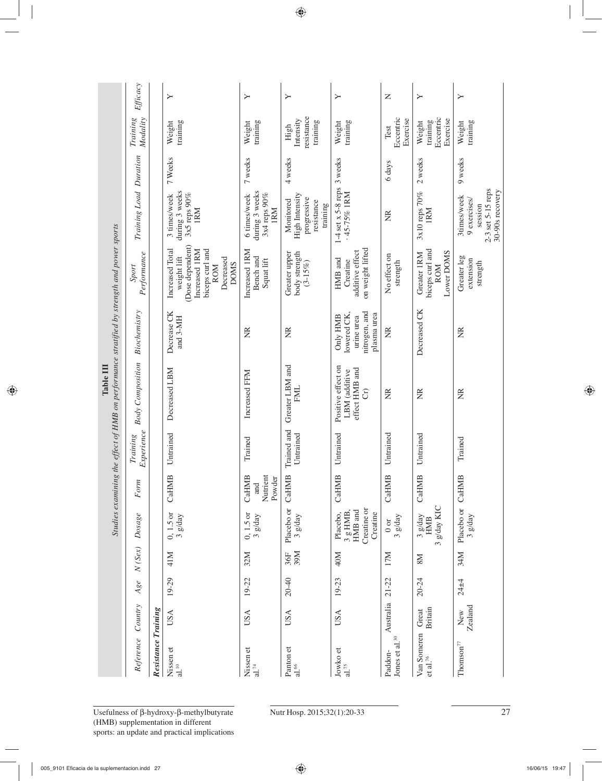| Studies examining the effect of HMB on performance stratified by strength and power sports | Efficacy<br>Modality<br>$Training$<br>Training Load Duration<br>Performance<br>Sport<br>Biochemistry |                     | Υ<br>training<br>Weight<br>7 Weeks<br>during 3 weeks<br>3x5 reps $90\%$<br>3 times/week<br><b>IRM</b><br>(Dose dependent)<br>biceps curl and<br>Increased Total<br>Increased 1RM<br>weight lift<br>Decreased<br><b>DOMS</b><br><b>ROM</b><br>Decrease CK<br>and 3-MH | ≻<br>training<br>Weight<br>7 weeks<br>during 3 weeks<br>3x4 reps 90%<br>6 times/week<br><b>IRM</b><br>Increased 1RM<br>Bench and<br>Squat lift<br>E | Υ<br>resistance<br>Intensity<br>training<br>High<br>4 weeks<br>High Intensity<br>progressive<br>Monitored<br>resistance<br>training<br>Greater upper<br>body strength<br>$(3 - 15\%)$<br>ž | ≻<br>training<br>Weight<br>3 weeks<br>$1-4$ set x $5-8$ reps<br>$-45-75%$ IRM<br>on weight lifted<br>additive effect<br>HMB and<br>Creatine<br>nitrogen, and<br>lowered CK,<br>plasma urea<br>Only HMB<br>urine urea | Z<br>Eccentric<br>Exercise<br>Test<br>6 days<br>Ĕ<br>No effect on<br>strength<br>ž | Υ<br>Eccentric<br>Exercise<br>training<br>Weight<br>2 weeks<br>3x10 reps 70%<br><b>IRM</b><br>biceps curl and<br>Lower DOMS<br>Greater 1RM<br><b>ROM</b><br>Decreased CK | ≻<br>training<br>Weight<br>9 weeks<br>3times/week<br>9 exercises/<br>session<br>Greater leg<br>extension<br>strength<br>Z |
|--------------------------------------------------------------------------------------------|------------------------------------------------------------------------------------------------------|---------------------|----------------------------------------------------------------------------------------------------------------------------------------------------------------------------------------------------------------------------------------------------------------------|-----------------------------------------------------------------------------------------------------------------------------------------------------|--------------------------------------------------------------------------------------------------------------------------------------------------------------------------------------------|----------------------------------------------------------------------------------------------------------------------------------------------------------------------------------------------------------------------|------------------------------------------------------------------------------------|--------------------------------------------------------------------------------------------------------------------------------------------------------------------------|---------------------------------------------------------------------------------------------------------------------------|
| Table III                                                                                  | <b>Body Composition</b>                                                                              |                     | Decreased LBM                                                                                                                                                                                                                                                        | Increased FFM                                                                                                                                       | Greater LBM and<br><b>FML</b>                                                                                                                                                              | Positive effect on<br>effect HMB and<br>LBM (additive<br>G <sub>1</sub>                                                                                                                                              | $\widetilde{R}$                                                                    | E                                                                                                                                                                        | E                                                                                                                         |
|                                                                                            | Experience<br>$Training$                                                                             |                     | Untrained                                                                                                                                                                                                                                                            | Trained                                                                                                                                             | Trained and<br>Untrained                                                                                                                                                                   | Untrained                                                                                                                                                                                                            | Untrained                                                                          | Untrained                                                                                                                                                                | Trained                                                                                                                   |
|                                                                                            | Form<br>$\it{Dosage}$                                                                                |                     | ЖB<br>CaH<br>$0, 1.5$ or<br>$3$ g/day                                                                                                                                                                                                                                | Nutrient<br><b>NB</b><br>Powder<br>and<br><b>E</b><br>CaHl<br>$0, 1.5$ or<br>3 g/day                                                                | ЖB<br>CaH <sub>.</sub><br>Placebo or<br>$3$ g/day                                                                                                                                          | ЖB<br><b>CaH</b><br>Creatine or<br>$3$ $\textrm{g}$ HMB, HMB and<br>Placebo,<br>Creatine                                                                                                                             | ЖB<br>CaHI<br>$3$ g/day<br>$0\ {\rm or}$                                           | ЖB<br>CaH<br>$\mathbf{g}/\mathbf{day}$ KIC<br>3 g/day<br><b>HMB</b><br>$\epsilon$                                                                                        | <b>NB</b><br><b>CaH</b><br>Placebo or<br>$3$ g/day                                                                        |
|                                                                                            | N(Sex)                                                                                               |                     | 41M                                                                                                                                                                                                                                                                  | 32M                                                                                                                                                 | 39M<br>36F                                                                                                                                                                                 | 40M                                                                                                                                                                                                                  | 17M                                                                                | <b>NS</b>                                                                                                                                                                | 34M                                                                                                                       |
|                                                                                            | Age                                                                                                  |                     | 19-29                                                                                                                                                                                                                                                                | 19-22                                                                                                                                               | $20 - 40$                                                                                                                                                                                  | 19-23                                                                                                                                                                                                                | $21 - 22$                                                                          | $20 - 24$                                                                                                                                                                | $24 + 4$                                                                                                                  |
|                                                                                            | Country<br>Reference                                                                                 | Resistance Training | <b>USA</b><br>Nissen et<br>$\rm ^{\rm 10}$                                                                                                                                                                                                                           | USA<br>Nissen et<br>al. <sup>74</sup>                                                                                                               | USA<br>Panton et<br>al. $66$                                                                                                                                                               | USA<br>Jowko et<br>al. $^{75}$                                                                                                                                                                                       | Australia<br>Jones et al. <sup>30</sup><br>Paddon-                                 | <b>Britain</b><br>Great<br>Van Someren<br>et al. $^{76}$                                                                                                                 | Zealand<br>New<br>Thomson <sup>77</sup>                                                                                   |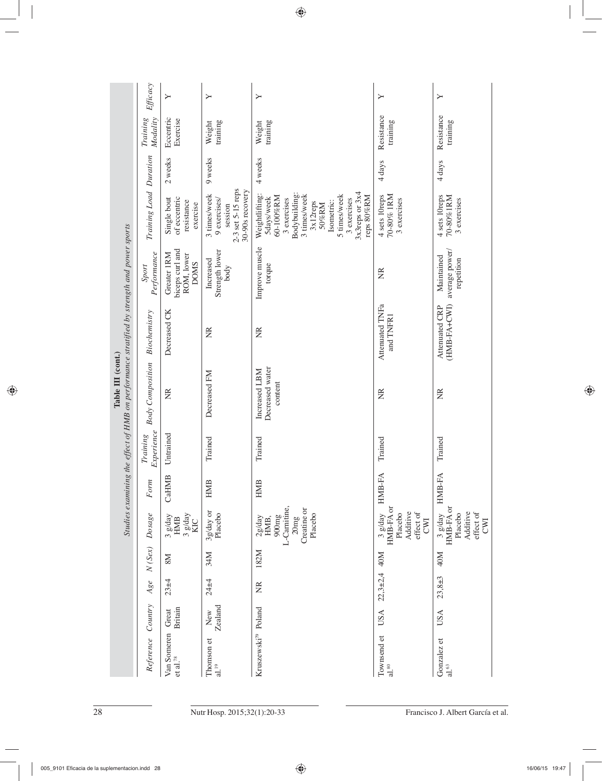|                                                                                                                 | <b>Efficacy</b>               | Υ                                                           | Υ                                                                               | Υ                                                                                                                                                                                           | Υ                                                                      | Υ                                                                      |
|-----------------------------------------------------------------------------------------------------------------|-------------------------------|-------------------------------------------------------------|---------------------------------------------------------------------------------|---------------------------------------------------------------------------------------------------------------------------------------------------------------------------------------------|------------------------------------------------------------------------|------------------------------------------------------------------------|
|                                                                                                                 | Modality<br>$Training$        | Eccentric<br>Exercise                                       | training<br>Weight                                                              | training<br>Weight                                                                                                                                                                          | Resistance<br>training                                                 | Resistance<br>training                                                 |
|                                                                                                                 |                               | 2 weeks                                                     | 9 weeks                                                                         | 4 weeks                                                                                                                                                                                     | 4 days                                                                 | 4 days                                                                 |
|                                                                                                                 | Training Load Duration        | of eccentric<br>Single bout<br>resistance<br>exercise       | 2-3 set 5-15 reps<br>30-90s recovery<br>3 times/week<br>9 exercises/<br>session | 3x3reps or 3x4<br>Bodybuilding:<br>5 times/week<br>Weightlifting:<br>3 times/week<br>reps 80%RM<br>60-100%RM<br>5days/week<br>3 exercises<br>3 exercises<br>Isometric:<br>3x12reps<br>50%RM | 70-80% IRM<br>4 sets 10reps<br>3 exercises                             | 4 sets 10reps<br>70-80%1RM<br>3 exercises                              |
|                                                                                                                 | Performance<br>Sport          | biceps curl and<br>ROM, lower<br>Greater 1RM<br><b>DOMS</b> | Strength lower<br>Increased<br>body                                             | Improve muscle<br>torque                                                                                                                                                                    | E                                                                      | average power/<br>Maintained<br>repetition                             |
|                                                                                                                 | Biochemistry                  | Decreased CK                                                | g                                                                               | $\frac{1}{2}$                                                                                                                                                                               | Attenuated TNFa<br>and TNFR1                                           | (HMB-FA+CWI)<br>Attenuated CRP                                         |
| Studies examining the effect of HMB on performance stratified by strength and power sports<br>Table III (cont.) | <b>Body Composition</b>       | ΣŘ                                                          | Decreased FM                                                                    | Decreased water<br>Increased LBM<br>content                                                                                                                                                 | Ř                                                                      | ΣŘ                                                                     |
|                                                                                                                 | Experience<br>$Training$      | Untrained                                                   | Trained                                                                         | Trained                                                                                                                                                                                     | Trained                                                                | Trained                                                                |
|                                                                                                                 | Form                          | <b>SEX</b><br>CaH                                           | <b>HMB</b>                                                                      | <b>HMB</b>                                                                                                                                                                                  | HMB-FA                                                                 | $B$ -FA<br>HMI                                                         |
|                                                                                                                 | Dosage                        | 3 g/day<br>3 g/day<br><b>HMB</b><br>KIC                     | 3g/day or<br>Placebo                                                            | L-Carnitine,<br>Creatine or<br>Placebo<br>900mg<br>20mg<br>2g/day<br>HMB.                                                                                                                   | HMB-FA or<br>Additive<br>effect of<br>Placebo<br>3 g/day<br><b>CWI</b> | HMB-FA or<br>Additive<br>effect of<br>Placebo<br>3 g/day<br><b>CWI</b> |
|                                                                                                                 | $N\left( \textit{Sex}\right)$ | <b>NS</b>                                                   | 34M                                                                             | 182M                                                                                                                                                                                        | 40M                                                                    | 40M                                                                    |
|                                                                                                                 | Age                           | $23 + 4$                                                    | $24 + 4$                                                                        | $\widetilde{R}$                                                                                                                                                                             | $22,3+2,4$                                                             | $23,8+3$                                                               |
|                                                                                                                 | Country                       | <b>Britain</b><br>Great                                     | Zealand<br>New                                                                  |                                                                                                                                                                                             | USA                                                                    | <b>USA</b>                                                             |
|                                                                                                                 | Reference                     | Van Someren<br>et al. <sup>78</sup>                         | Thomson et<br>al. $^{19}$                                                       | Kruszewski <sup>79</sup> Poland                                                                                                                                                             | Townsend et<br>$\,$ al. $\!$                                           | Gonzalez et<br>al. <sup>63</sup>                                       |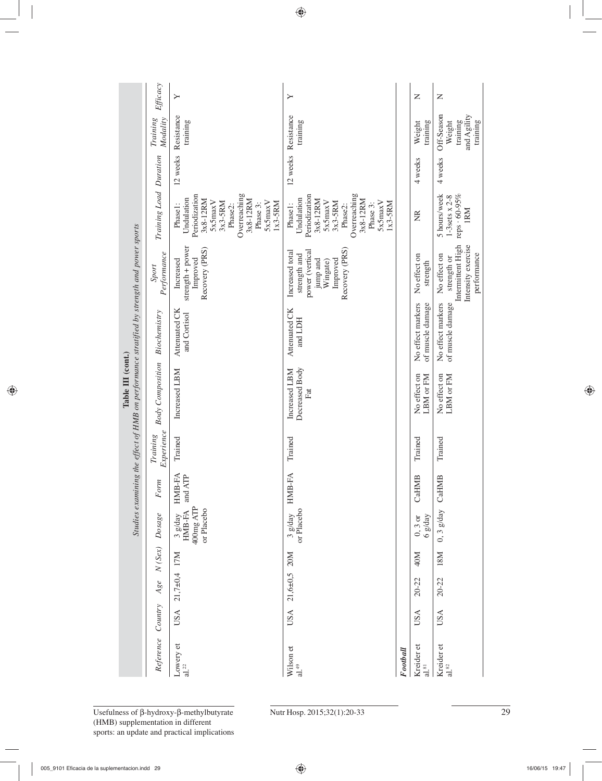|                                                                                                                 | Efficacy                | ≻                                                                                                                                                     | Υ                                                                                                                                                   |          | Z                                     | Z                                                                                     |
|-----------------------------------------------------------------------------------------------------------------|-------------------------|-------------------------------------------------------------------------------------------------------------------------------------------------------|-----------------------------------------------------------------------------------------------------------------------------------------------------|----------|---------------------------------------|---------------------------------------------------------------------------------------|
|                                                                                                                 | Modality<br>$Training$  | Resistance<br>training                                                                                                                                | Resistance<br>training                                                                                                                              |          | training<br>Weight                    | Off-Season<br>and Agility<br>training<br>training<br>Weight                           |
|                                                                                                                 |                         | 12 weeks                                                                                                                                              | 12 weeks                                                                                                                                            |          | 4 weeks                               | 4 weeks                                                                               |
|                                                                                                                 | Training Load Duration  | Overreaching<br>Periodization<br>Undulation<br>3x8-12RM<br>3x8-12RM<br>5x5maxV<br>5x5maxV<br>$3x3-5RM$<br>$1x3-5RM$<br>Phase 3:<br>Phase1:<br>Phase2: | Overreaching<br>Periodization<br>Undulation<br>3x8-12RM<br>3x8-12RM<br>5x5maxV<br>5x5maxV<br>3x3-5RM<br>$1x3-5RM$<br>Phase 3:<br>Phase1:<br>Phase2: |          | E                                     | reps $\cdot$ 60-95%<br>5 hours/week<br>$1-3$ sets x 2-8<br>1RM                        |
|                                                                                                                 | Performance<br>Sport    | strength + power<br>Recovery (PRS)<br>Improved<br>Increased                                                                                           | Recovery (PRS)<br>power (vertical<br>Increased total<br>strength and<br>Improved<br>jump and<br>Wingate)                                            |          | No effect on<br>strength              | Intermittent High<br>Intensity exercise<br>No effect on<br>performance<br>strength or |
|                                                                                                                 | Biochemistry            | Attenuated CK<br>and Cortisol                                                                                                                         | Attenuated CK<br>and LDH                                                                                                                            |          | No effect markers<br>of muscle damage | No effect markers<br>of muscle damage                                                 |
| Studies examining the effect of HMB on performance stratified by strength and power sports<br>Table III (cont.) | <b>Body Composition</b> | Increased LBM                                                                                                                                         | Decreased Body<br>Increased LBM<br>Fat                                                                                                              |          | No effect on<br>LBM or FM             | No effect on<br>LBM or FM                                                             |
|                                                                                                                 | Experience<br>Training  | Trained                                                                                                                                               | Trained                                                                                                                                             |          | Trained                               | Trained                                                                               |
|                                                                                                                 | Form                    | HMB-FA<br>and ATP                                                                                                                                     | HMB-FA                                                                                                                                              |          | <b>SE</b><br>CaHI                     | CaHMB                                                                                 |
|                                                                                                                 | Dosage                  | 400mg ATP<br>or Placebo<br>HMB-FA<br>$3$ g/day                                                                                                        | 3 g/day<br>or Placebo                                                                                                                               |          | 6g/day<br>$0, 3$ or                   | $0, 3$ g/day                                                                          |
|                                                                                                                 | N(Sex)                  |                                                                                                                                                       | 20M                                                                                                                                                 |          | 40M                                   | 18M                                                                                   |
|                                                                                                                 | Age                     | 21,7±0,4 17M                                                                                                                                          | $21,6+0,5$                                                                                                                                          |          | $20 - 22$                             | $20 - 22$                                                                             |
|                                                                                                                 |                         | USA                                                                                                                                                   | USA                                                                                                                                                 |          | USA                                   | USA                                                                                   |
|                                                                                                                 | Reference Country       | Lowery et<br>al. $^{22}$                                                                                                                              | Wilson et<br>al. <sup>49</sup>                                                                                                                      | Football | Kreider et<br>al.81                   | Kreider et<br>al. $^{\circ2}$                                                         |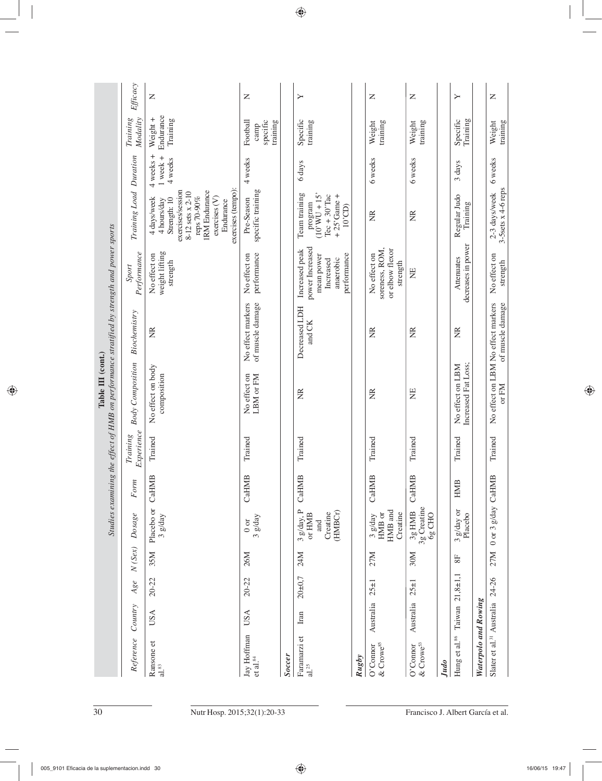|                                                                                                                 | Efficacy                      | Z                                                                                                                                                                                | Z                                         |        | ≻                                                                                                                                         |       | Z                                                             | Z                                 |      | ≻                                       |                      | Z                                           |
|-----------------------------------------------------------------------------------------------------------------|-------------------------------|----------------------------------------------------------------------------------------------------------------------------------------------------------------------------------|-------------------------------------------|--------|-------------------------------------------------------------------------------------------------------------------------------------------|-------|---------------------------------------------------------------|-----------------------------------|------|-----------------------------------------|----------------------|---------------------------------------------|
|                                                                                                                 | Modality<br><b>Training</b>   | Endurance<br>Weight +<br>Training                                                                                                                                                | Football<br>specific<br>training<br>camp  |        | Specific<br>training                                                                                                                      |       | training<br>Weight                                            | training<br>Weight                |      | Training<br>Specific                    |                      | training<br>Weight                          |
|                                                                                                                 |                               | $4$ weeks $+$<br>$1$ week $+$<br>4 weeks                                                                                                                                         | 4 weeks                                   |        | 6 days                                                                                                                                    |       | 6 weeks                                                       | 6 weeks                           |      | 3 days                                  |                      | 6 weeks                                     |
|                                                                                                                 | Training Load Duration        | exercises (tempo):<br>exercises/session<br><b>IRM</b> Endurance<br>$8-12$ sets x 2-10<br>reps 70-90%<br>4 days/week<br>Strength: 10<br>exercises (V)<br>4 hours/day<br>Endurance | specific training<br>Pre-Season           |        | $(10^{\circ} WU + 15^{\circ}$<br>Team training<br>Tec $+30$ <sup><math>-</math></sup> Tac<br>$+25$ 'Game +<br>program<br>$10^{\circ}$ CD) |       | ž                                                             | Ĕ                                 |      | Regular Judo<br>Training                |                      | 3-5sets x 4-6 reps<br>2-3 days/week         |
|                                                                                                                 | Performance<br>Sport          | weight lifting<br>No effect on<br>strength                                                                                                                                       | performance<br>No effect on               |        | power Increased<br>Increased peak<br>mean power<br>performance<br>anaerobic<br>Increased                                                  |       | soreness, ROM,<br>or elbow flexor<br>No effect on<br>strength | ΣÄ                                |      | decreases in power<br>Attenuates        |                      | No effect on<br>strength                    |
| Studies examining the effect of HMB on performance stratified by strength and power sports<br>Table III (cont.) | Biochemistry                  | $\widetilde{\Xi}$                                                                                                                                                                | of muscle damage<br>No effect markers     |        | Decreased LDH<br>and CK                                                                                                                   |       | ž                                                             | Ĕ                                 |      | Ĕ                                       |                      | of muscle damage                            |
|                                                                                                                 | <b>Body Composition</b>       | No effect on body<br>composition                                                                                                                                                 | LBM or FM<br>No effect on                 |        | E                                                                                                                                         |       | $\frac{R}{N}$                                                 | Ë                                 |      | Increased Fat Loss;<br>No effect on LBM |                      | No effect on LBM No effect markers<br>or FM |
|                                                                                                                 | Experience<br><b>Training</b> | Trained                                                                                                                                                                          | Trained                                   |        | Trained                                                                                                                                   |       | Trained                                                       | Trained                           |      | Trained                                 |                      | Trained                                     |
|                                                                                                                 | $\tilde{m}$<br>$F$ or         | CaHMB                                                                                                                                                                            | CaHMB                                     |        | CaHMB                                                                                                                                     |       | CaHMB                                                         | CaHMB                             |      | $\overline{AB}$<br>È                    |                      |                                             |
|                                                                                                                 | Dosage                        | Placebo or<br>$3$ g/day                                                                                                                                                          | $3$ g/day<br>$0$ or                       |        | 3 g/day, P<br>(HMBCr)<br>Creatine<br>or HMB<br>and                                                                                        |       | HMB and<br>Creatine<br>HMB or<br>3 g/day                      | 3g Creatine<br>3g HMB<br>6g CHO   |      | 3 g/day or<br>Placebo                   |                      | 27M 0 or 3 g/day CaHMB                      |
|                                                                                                                 | N(Sex)                        | 35M                                                                                                                                                                              | 26M                                       |        | 24M                                                                                                                                       |       | 27M                                                           | 30M                               |      | 8F                                      |                      |                                             |
|                                                                                                                 | Age                           | $20 - 22$                                                                                                                                                                        | $20 - 22$                                 |        | $20 + 0,7$                                                                                                                                |       | $25 \pm 1$                                                    | $25 \pm 1$                        |      |                                         |                      |                                             |
|                                                                                                                 | Country                       | USA                                                                                                                                                                              | <b>USA</b>                                |        | Iran                                                                                                                                      |       | Australia                                                     | Australia                         |      | Taiwan $21,8 \pm 1,1$                   |                      |                                             |
|                                                                                                                 | Reference                     | Ransone et<br>al.83                                                                                                                                                              | Jay Hoffman<br>$\rm{et}$ al. $\rm{^{84}}$ | Soccer | Faramarzi et<br>al. <sup>25</sup>                                                                                                         | Rugby | & Crowe <sup>85</sup><br>O'Connor                             | $&Crowe^{53}$<br>O'Connor         | Judo | Hung et al. <sup>86</sup>               | Waterpolo and Rowing | Slater et al. <sup>31</sup> Australia 24-26 |
| 30                                                                                                              |                               | Nutr Hosp. 2015;32(1):20-33                                                                                                                                                      |                                           |        |                                                                                                                                           |       |                                                               | Francisco J. Albert García et al. |      |                                         |                      |                                             |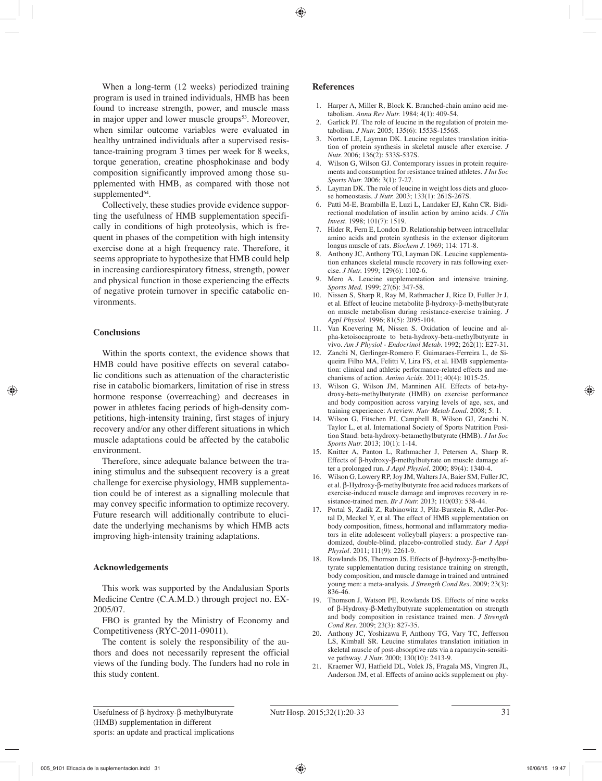When a long-term (12 weeks) periodized training program is used in trained individuals, HMB has been found to increase strength, power, and muscle mass in major upper and lower muscle groups<sup>53</sup>. Moreover, when similar outcome variables were evaluated in healthy untrained individuals after a supervised resistance-training program 3 times per week for 8 weeks, torque generation, creatine phosphokinase and body composition significantly improved among those supplemented with HMB, as compared with those not supplemented<sup>64</sup>.

Collectively, these studies provide evidence supporting the usefulness of HMB supplementation specifically in conditions of high proteolysis, which is frequent in phases of the competition with high intensity exercise done at a high frequency rate. Therefore, it seems appropriate to hypothesize that HMB could help in increasing cardiorespiratory fitness, strength, power and physical function in those experiencing the effects of negative protein turnover in specific catabolic environments.

# **Conclusions**

Within the sports context, the evidence shows that HMB could have positive effects on several catabolic conditions such as attenuation of the characteristic rise in catabolic biomarkers, limitation of rise in stress hormone response (overreaching) and decreases in power in athletes facing periods of high-density competitions, high-intensity training, first stages of injury recovery and/or any other different situations in which muscle adaptations could be affected by the catabolic environment.

Therefore, since adequate balance between the training stimulus and the subsequent recovery is a great challenge for exercise physiology, HMB supplementation could be of interest as a signalling molecule that may convey specific information to optimize recovery. Future research will additionally contribute to elucidate the underlying mechanisms by which HMB acts improving high-intensity training adaptations.

#### **Acknowledgements**

This work was supported by the Andalusian Sports Medicine Centre (C.A.M.D.) through project no. EX-2005/07.

FBO is granted by the Ministry of Economy and Competitiveness (RYC-2011-09011).

The content is solely the responsibility of the authors and does not necessarily represent the official views of the funding body. The funders had no role in this study content.

#### **References**

- 1. Harper A, Miller R, Block K. Branched-chain amino acid metabolism. *Annu Rev Nutr.* 1984; 4(1): 409-54.
- 2. Garlick PJ. The role of leucine in the regulation of protein metabolism. *J Nutr.* 2005; 135(6): 1553S-1556S.
- 3. Norton LE, Layman DK. Leucine regulates translation initiation of protein synthesis in skeletal muscle after exercise. *J Nutr.* 2006; 136(2): 533S-537S.
- 4. Wilson G, Wilson GJ. Contemporary issues in protein requirements and consumption for resistance trained athletes. *J Int Soc Sports Nutr.* 2006; 3(1): 7-27.
- 5. Layman DK. The role of leucine in weight loss diets and glucose homeostasis. *J Nutr.* 2003; 133(1): 261S-267S.
- 6. Patti M-E, Brambilla E, Luzi L, Landaker EJ, Kahn CR. Bidirectional modulation of insulin action by amino acids. *J Clin Invest.* 1998; 101(7): 1519.
- 7. Hider R, Fern E, London D. Relationship between intracellular amino acids and protein synthesis in the extensor digitorum longus muscle of rats. *Biochem J.* 1969; 114: 171-8.
- 8. Anthony JC, Anthony TG, Layman DK. Leucine supplementation enhances skeletal muscle recovery in rats following exercise. *J Nutr.* 1999; 129(6): 1102-6.
- 9. Mero A. Leucine supplementation and intensive training. *Sports Med.* 1999; 27(6): 347-58.
- 10. Nissen S, Sharp R, Ray M, Rathmacher J, Rice D, Fuller Jr J, et al. Effect of leucine metabolite β-hydroxy-β-methylbutyrate on muscle metabolism during resistance-exercise training. *J Appl Physiol.* 1996; 81(5): 2095-104.
- 11. Van Koevering M, Nissen S. Oxidation of leucine and alpha-ketoisocaproate to beta-hydroxy-beta-methylbutyrate in vivo. *Am J Physiol - Endocrinol Metab.* 1992; 262(1): E27-31.
- 12. Zanchi N, Gerlinger-Romero F, Guimaraes-Ferreira L, de Siqueira Filho MA, Felitti V, Lira FS, et al. HMB supplementation: clinical and athletic performance-related effects and mechanisms of action. *Amino Acids.* 2011; 40(4): 1015-25.
- 13. Wilson G, Wilson JM, Manninen AH. Effects of beta-hydroxy-beta-methylbutyrate (HMB) on exercise performance and body composition across varying levels of age, sex, and training experience: A review. *Nutr Metab Lond.* 2008; 5: 1.
- 14. Wilson G, Fitschen PJ, Campbell B, Wilson GJ, Zanchi N, Taylor L, et al. International Society of Sports Nutrition Position Stand: beta-hydroxy-betamethylbutyrate (HMB). *J Int Soc Sports Nutr.* 2013; 10(1): 1-14.
- 15. Knitter A, Panton L, Rathmacher J, Petersen A, Sharp R. Effects of β-hydroxy-β-methylbutyrate on muscle damage after a prolonged run. *J Appl Physiol.* 2000; 89(4): 1340-4.
- 16. Wilson G, Lowery RP, Joy JM, Walters JA, Baier SM, Fuller JC, et al. β-Hydroxy-β-methylbutyrate free acid reduces markers of exercise-induced muscle damage and improves recovery in resistance-trained men. *Br J Nutr.* 2013; 110(03): 538-44.
- 17. Portal S, Zadik Z, Rabinowitz J, Pilz-Burstein R, Adler-Portal D, Meckel Y, et al. The effect of HMB supplementation on body composition, fitness, hormonal and inflammatory mediators in elite adolescent volleyball players: a prospective randomized, double-blind, placebo-controlled study. *Eur J Appl Physiol.* 2011; 111(9): 2261-9.
- 18. Rowlands DS, Thomson JS. Effects of β-hydroxy-β-methylbutyrate supplementation during resistance training on strength, body composition, and muscle damage in trained and untrained young men: a meta-analysis. *J Strength Cond Res.* 2009; 23(3): 836-46.
- 19. Thomson J, Watson PE, Rowlands DS. Effects of nine weeks of β-Hydroxy-β-Methylbutyrate supplementation on strength and body composition in resistance trained men. *J Strength Cond Res.* 2009; 23(3): 827-35.
- 20. Anthony JC, Yoshizawa F, Anthony TG, Vary TC, Jefferson LS, Kimball SR. Leucine stimulates translation initiation in skeletal muscle of post-absorptive rats via a rapamycin-sensitive pathway. *J Nutr.* 2000; 130(10): 2413-9.
- 21. Kraemer WJ, Hatfield DL, Volek JS, Fragala MS, Vingren JL, Anderson JM, et al. Effects of amino acids supplement on phy-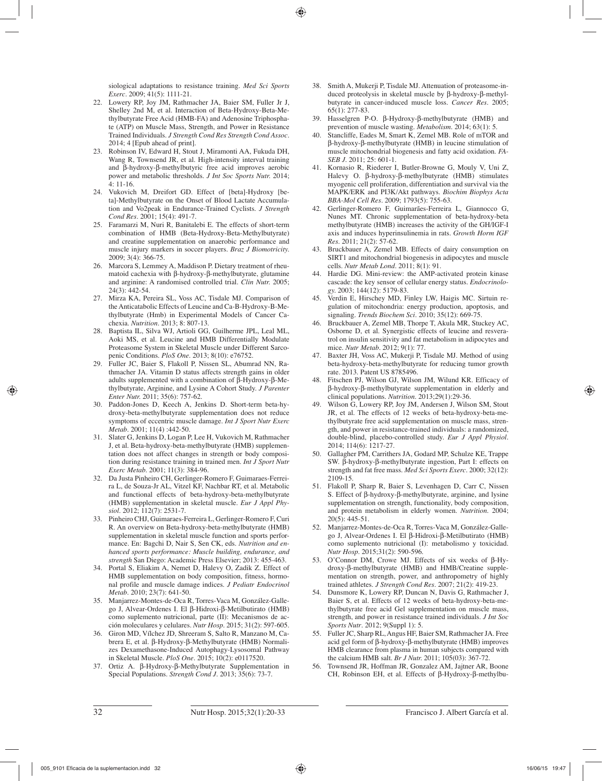siological adaptations to resistance training. *Med Sci Sports Exerc.* 2009; 41(5): 1111-21.

- 22. Lowery RP, Joy JM, Rathmacher JA, Baier SM, Fuller Jr J, Shelley 2nd M, et al. Interaction of Beta-Hydroxy-Beta-Methylbutyrate Free Acid (HMB-FA) and Adenosine Triphosphate (ATP) on Muscle Mass, Strength, and Power in Resistance Trained Individuals. *J Strength Cond Res Strength Cond Assoc.* 2014; 4 [Epub ahead of print].
- 23. Robinson IV, Edward H, Stout J, Miramonti AA, Fukuda DH, Wang R, Townsend JR, et al. High-intensity interval training and β-hydroxy-β-methylbutyric free acid improves aerobic power and metabolic thresholds. *J Int Soc Sports Nutr.* 2014; 4: 11-16.
- 24. Vukovich M, Dreifort GD. Effect of [beta]-Hydroxy [beta]-Methylbutyrate on the Onset of Blood Lactate Accumulation and Vo2peak in Endurance-Trained Cyclists. *J Strength Cond Res.* 2001; 15(4): 491-7.
- 25. Faramarzi M, Nuri R, Banitalebi E. The effects of short-term combination of HMB (Beta-Hydroxy-Beta-Methylbutyrate) and creatine supplementation on anaerobic performance and muscle injury markers in soccer players. *Braz J Biomotricity.*  2009; 3(4): 366-75.
- 26. Marcora S, Lemmey A, Maddison P. Dietary treatment of rheumatoid cachexia with β-hydroxy-β-methylbutyrate, glutamine and arginine: A randomised controlled trial. *Clin Nutr.* 2005; 24(3): 442-54.
- 27. Mirza KA, Pereira SL, Voss AC, Tisdale MJ. Comparison of the Anticatabolic Effects of Leucine and Ca-Β-Hydroxy-Β-Methylbutyrate (Hmb) in Experimental Models of Cancer Cachexia. *Nutrition*. 2013; 8: 807-13.
- 28. Baptista IL, Silva WJ, Artioli GG, Guilherme JPL, Leal ML, Aoki MS, et al. Leucine and HMB Differentially Modulate Proteasome System in Skeletal Muscle under Different Sarcopenic Conditions. *PloS One.* 2013; 8(10): e76752.
- 29. Fuller JC, Baier S, Flakoll P, Nissen SL, Abumrad NN, Rathmacher JA. Vitamin D status affects strength gains in older adults supplemented with a combination of β-Hydroxy-β-Methylbutyrate, Arginine, and Lysine A Cohort Study. *J Parenter Enter Nutr.* 2011; 35(6): 757-62.
- 30. Paddon-Jones D, Keech A, Jenkins D. Short-term beta-hydroxy-beta-methylbutyrate supplementation does not reduce symptoms of eccentric muscle damage. *Int J Sport Nutr Exerc Metab.* 2001; 11(4) :442-50.
- 31. Slater G, Jenkins D, Logan P, Lee H, Vukovich M, Rathmacher J, et al. Beta-hydroxy-beta-methylbutyrate (HMB) supplementation does not affect changes in strength or body composition during resistance training in trained men. *Int J Sport Nutr Exerc Metab.* 2001; 11(3): 384-96.
- 32. Da Justa Pinheiro CH, Gerlinger-Romero F, Guimaraes-Ferreira L, de Souza-Jr AL, Vitzel KF, Nachbar RT, et al. Metabolic and functional effects of beta-hydroxy-beta-methylbutyrate (HMB) supplementation in skeletal muscle. *Eur J Appl Physiol.* 2012; 112(7): 2531-7.
- 33. Pinheiro CHJ, Guimaraes-Ferreira L, Gerlinger-Romero F, Curi R. An overview on Beta-hydroxy-beta-methylbutyrate (HMB) supplementation in skeletal muscle function and sports performance. En: Bagchi D, Nair S, Sen CK, eds. *Nutrition and enhanced sports performance: Muscle building, endurance, and strength* San Diego: Academic Press Elsevier; 2013: 455-463.
- 34. Portal S, Eliakim A, Nemet D, Halevy O, Zadik Z. Effect of HMB supplementation on body composition, fitness, hormonal profile and muscle damage indices. *J Pediatr Endocrinol Metab.* 2010; 23(7): 641-50.
- 35. Manjarrez-Montes-de-Oca R, Torres-Vaca M, González-Gallego J, Alvear-Ordenes I. El β-Hidroxi-β-Metilbutirato (HMB) como suplemento nutricional, parte (II): Mecanismos de acción moleculares y celulares. *Nutr Hosp.* 2015; 31(2): 597-605.
- 36. Giron MD, Vílchez JD, Shreeram S, Salto R, Manzano M, Cabrera E, et al. β-Hydroxy-β-Methylbutyrate (HMB) Normalizes Dexamethasone-Induced Autophagy-Lysosomal Pathway in Skeletal Muscle. *PloS One.* 2015; 10(2): e0117520.
- 37. Ortiz A. β-Hydroxy-β-Methylbutyrate Supplementation in Special Populations. *Strength Cond J.* 2013; 35(6): 73-7.
- 38. Smith A, Mukerji P, Tisdale MJ. Attenuation of proteasome-induced proteolysis in skeletal muscle by β-hydroxy-β-methylbutyrate in cancer-induced muscle loss. *Cancer Res.* 2005; 65(1): 277-83.
- 39. Hasselgren P-O. β-Hydroxy-β-methylbutyrate (HMB) and prevention of muscle wasting. *Metabolism.* 2014; 63(1): 5.
- 40. Stancliffe, Eades M, Smart K, Zemel MB. Role of mTOR and β-hydroxy-β-methylbutyrate (HMB) in leucine stimulation of muscle mitochondrial biogenesis and fatty acid oxidation. *FA-SEB J.* 2011; 25: 601-1.
- 41. Kornasio R, Riederer I, Butler-Browne G, Mouly V, Uni Z, Halevy O. β-hydroxy-β-methylbutyrate (HMB) stimulates myogenic cell proliferation, differentiation and survival via the MAPK/ERK and PI3K/Akt pathways. *Biochim Biophys Acta BBA-Mol Cell Res.* 2009; 1793(5): 755-63.
- 42. Gerlinger-Romero F, Guimarães-Ferreira L, Giannocco G, Nunes MT. Chronic supplementation of beta-hydroxy-beta methylbutyrate (HMB) increases the activity of the GH/IGF-I axis and induces hyperinsulinemia in rats. *Growth Horm IGF Res.* 2011; 21(2): 57-62.
- 43. Bruckbauer A, Zemel MB. Effects of dairy consumption on SIRT1 and mitochondrial biogenesis in adipocytes and muscle cells. *Nutr Metab Lond.* 2011; 8(1): 91.
- 44. Hardie DG. Mini-review: the AMP-activated protein kinase cascade: the key sensor of cellular energy status. *Endocrinology.* 2003; 144(12): 5179-83.
- 45. Verdin E, Hirschey MD, Finley LW, Haigis MC. Sirtuin regulation of mitochondria: energy production, apoptosis, and signaling. *Trends Biochem Sci.* 2010; 35(12): 669-75.
- 46. Bruckbauer A, Zemel MB, Thorpe T, Akula MR, Stuckey AC, Osborne D, et al. Synergistic effects of leucine and resveratrol on insulin sensitivity and fat metabolism in adipocytes and mice. *Nutr Metab.* 2012; 9(1): 77.
- 47. Baxter JH, Voss AC, Mukerji P, Tisdale MJ. Method of using beta-hydroxy-beta-methylbutyrate for reducing tumor growth rate. 2013. Patent US 8785496.
- 48. Fitschen PJ, Wilson GJ, Wilson JM, Wilund KR. Efficacy of β-hydroxy-β-methylbutyrate supplementation in elderly and clinical populations. *Nutrition*. 2013;29(1):29-36.
- 49. Wilson G, Lowery RP, Joy JM, Andersen J, Wilson SM, Stout JR, et al. The effects of 12 weeks of beta-hydroxy-beta-methylbutyrate free acid supplementation on muscle mass, strength, and power in resistance-trained individuals: a randomized, double-blind, placebo-controlled study. *Eur J Appl Physiol.*  2014; 114(6): 1217-27.
- 50. Gallagher PM, Carrithers JA, Godard MP, Schulze KE, Trappe SW. β-hydroxy-β-methylbutyrate ingestion, Part I: effects on strength and fat free mass. *Med Sci Sports Exerc.* 2000; 32(12): 2109-15.
- 51. Flakoll P, Sharp R, Baier S, Levenhagen D, Carr C, Nissen S. Effect of β-hydroxy-β-methylbutyrate, arginine, and lysine supplementation on strength, functionality, body composition, and protein metabolism in elderly women. *Nutrition*. 2004;  $20(5)$ : 445-51.
- 52. Manjarrez-Montes-de-Oca R, Torres-Vaca M, González-Gallego J, Alvear-Ordenes I. El β-Hidroxi-β-Metilbutirato (HMB) como suplemento nutricional (I): metabolismo y toxicidad. *Nutr Hosp.* 2015;31(2): 590-596.
- 53. O'Connor DM, Crowe MJ. Effects of six weeks of β-Hydroxy-β-methylbutyrate (HMB) and HMB/Creatine supplementation on strength, power, and anthropometry of highly trained athletes. *J Strength Cond Res.* 2007; 21(2): 419-23.
- 54. Dunsmore K, Lowery RP, Duncan N, Davis G, Rathmacher J, Baier S, et al. Effects of 12 weeks of beta-hydroxy-beta-methylbutyrate free acid Gel supplementation on muscle mass, strength, and power in resistance trained individuals. *J Int Soc Sports Nutr*. 2012; 9(Suppl 1): 5.
- 55. Fuller JC, Sharp RL, Angus HF, Baier SM, Rathmacher JA. Free acid gel form of β-hydroxy-β-methylbutyrate (HMB) improves HMB clearance from plasma in human subjects compared with the calcium HMB salt. *Br J Nutr.* 2011; 105(03): 367-72.
- 56. Townsend JR, Hoffman JR, Gonzalez AM, Jajtner AR, Boone CH, Robinson EH, et al. Effects of β-Hydroxy-β-methylbu-